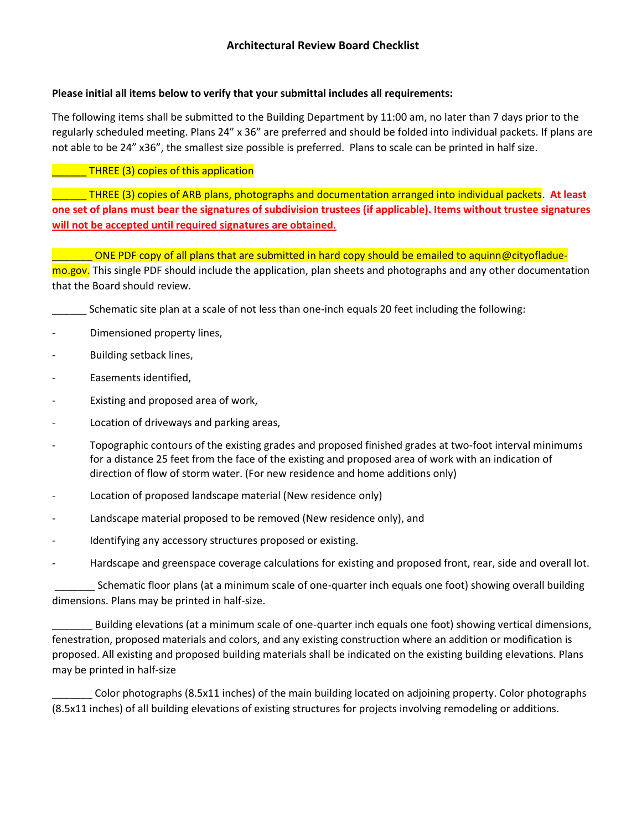### **Please initial all items below to verify that your submittal includes all requirements:**

The following items shall be submitted to the Building Department by 11:00 am, no later than 7 days prior to the regularly scheduled meeting. Plans 24" x 36" are preferred and should be folded into individual packets. If plans are not able to be 24" x36", the smallest size possible is preferred. Plans to scale can be printed in half size.

### \_\_\_\_\_\_ THREE (3) copies of this application

\_\_\_\_\_\_ THREE (3) copies of ARB plans, photographs and documentation arranged into individual packets. **At least one set of plans must bear the signatures of subdivision trustees (if applicable). Items without trustee signatures will not be accepted until required signatures are obtained.**

\_\_\_\_\_\_\_ ONE PDF copy of all plans that are submitted in hard copy should be emailed to aquinn@cityofladuemo.gov. This single PDF should include the application, plan sheets and photographs and any other documentation that the Board should review.

- Schematic site plan at a scale of not less than one-inch equals 20 feet including the following:
- Dimensioned property lines,
- Building setback lines,
- Easements identified,
- Existing and proposed area of work,
- Location of driveways and parking areas,
- Topographic contours of the existing grades and proposed finished grades at two-foot interval minimums for a distance 25 feet from the face of the existing and proposed area of work with an indication of direction of flow of storm water. (For new residence and home additions only)
- Location of proposed landscape material (New residence only)
- Landscape material proposed to be removed (New residence only), and
- Identifying any accessory structures proposed or existing.
- Hardscape and greenspace coverage calculations for existing and proposed front, rear, side and overall lot.

\_\_\_\_\_\_\_ Schematic floor plans (at a minimum scale of one-quarter inch equals one foot) showing overall building dimensions. Plans may be printed in half-size.

\_\_\_\_\_\_\_ Building elevations (at a minimum scale of one-quarter inch equals one foot) showing vertical dimensions, fenestration, proposed materials and colors, and any existing construction where an addition or modification is proposed. All existing and proposed building materials shall be indicated on the existing building elevations. Plans may be printed in half-size

\_\_\_\_\_\_\_ Color photographs (8.5x11 inches) of the main building located on adjoining property. Color photographs (8.5x11 inches) of all building elevations of existing structures for projects involving remodeling or additions.